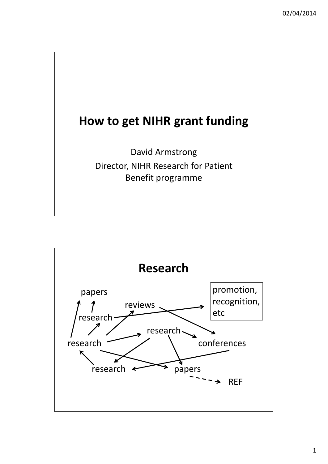

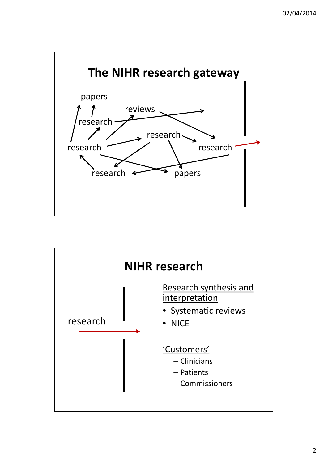



- Clinicians
- Patients
- Commissioners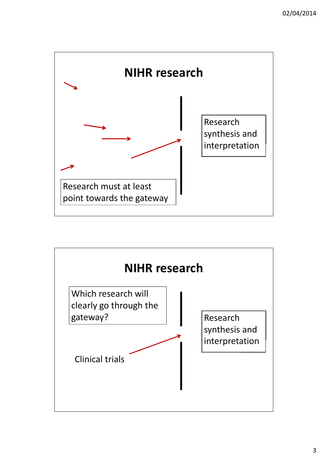

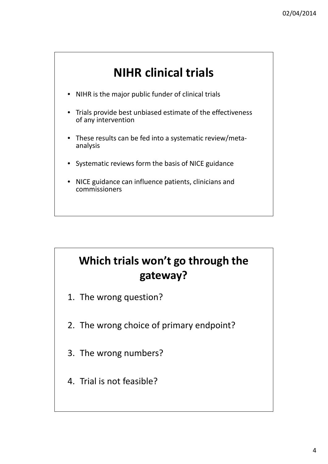# **NIHR clinical trials**

- NIHR is the major public funder of clinical trials
- Trials provide best unbiased estimate of the effectiveness of any intervention
- These results can be fed into a systematic review/metaanalysis
- Systematic reviews form the basis of NICE guidance
- NICE guidance can influence patients, clinicians and commissioners

# **Which trials won't go through the gateway?**

- 1. The wrong question?
- 2. The wrong choice of primary endpoint?
- 

3. The wrong numbers?

#### 4. Trial is not feasible?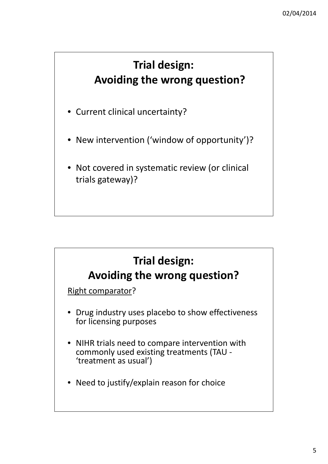## **Trial design: Avoiding the wrong question?**

- Current clinical uncertainty?
- New intervention ('window of opportunity')?
- Not covered in systematic review (or clinical trials gateway)?



• NIHR trials need to compare intervention with

commonly used existing treatments (TAU - 'treatment as usual')

• Need to justify/explain reason for choice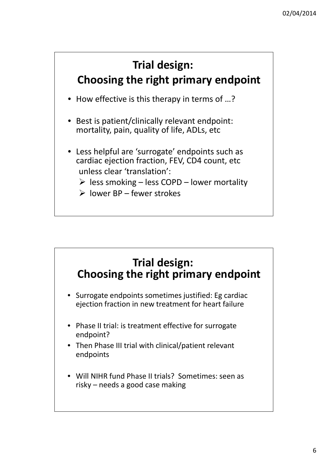- How effective is this therapy in terms of …?
- Best is patient/clinically relevant endpoint: mortality, pain, quality of life, ADLs, etc
- Less helpful are 'surrogate' endpoints such as cardiac ejection fraction, FEV, CD4 count, etc unless clear 'translation':
	- $\triangleright$  less smoking less COPD lower mortality
	- $\triangleright$  lower BP fewer strokes

## **Trial design: Choosing the right primary endpoint**

- Surrogate endpoints sometimes justified: Eg cardiac ejection fraction in new treatment for heart failure
- Phase II trial: is treatment effective for surrogate endpoint?
- Then Phase III trial with clinical/patient relevant

#### endpoints

• Will NIHR fund Phase II trials? Sometimes: seen as risky – needs a good case making

#### **Trial design: Choosing the right primary endpoint**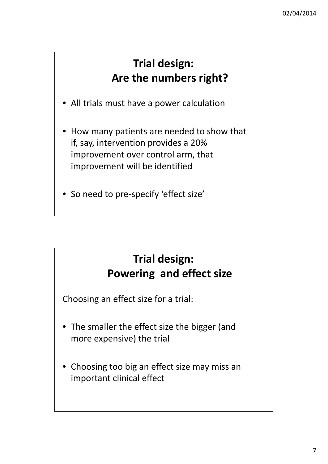#### **Trial design: Are the numbers right?**

- All trials must have a power calculation
- How many patients are needed to show that if, say, intervention provides a 20% improvement over control arm, that improvement will be identified
- So need to pre-specify 'effect size'

## **Trial design: Powering and effect size**

Choosing an effect size for a trial:

- The smaller the effect size the bigger (and more expensive) the trial
- Choosing too big an effect size may miss an important clinical effect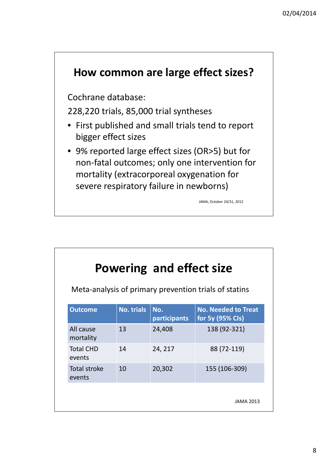

Cochrane database:

228,220 trials, 85,000 trial syntheses

- First published and small trials tend to report bigger effect sizes
- 9% reported large effect sizes (OR>5) but for non-fatal outcomes; only one intervention for mortality (extracorporeal oxygenation for severe respiratory failure in newborns)

JAMA, October 24/31, 2012

|                        |                   | Powering and effect size |                                                       |
|------------------------|-------------------|--------------------------|-------------------------------------------------------|
|                        |                   |                          | Meta-analysis of primary prevention trials of statins |
| <b>Outcome</b>         | <b>No. trials</b> | No.<br>participants      | <b>No. Needed to Treat</b><br>for 5y (95% Cls)        |
| All cause<br>mortality | 13                | 24,408                   | 138 (92-321)                                          |

| <b>Total CHD</b><br>events | 14 | 24, 217 | 88 (72-119)      |
|----------------------------|----|---------|------------------|
| Total stroke<br>events     | 10 | 20,302  | 155 (106-309)    |
|                            |    |         | <b>JAMA 2013</b> |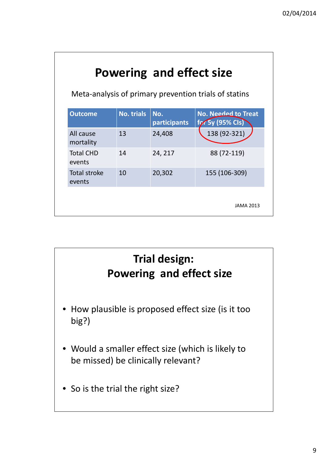# **Powering and effect size**

| 138 (92-321)<br>24,408<br>88 (72-119)<br>24, 217<br>155 (106-309)<br>20,302 | <b>Outcome</b>                | <b>No. trials</b> | No.<br>participants | <b>No. Needed to Treat</b><br>for 5y (95% CIs) |
|-----------------------------------------------------------------------------|-------------------------------|-------------------|---------------------|------------------------------------------------|
|                                                                             | All cause<br>mortality        | 13                |                     |                                                |
|                                                                             | <b>Total CHD</b><br>events    | 14                |                     |                                                |
|                                                                             | <b>Total stroke</b><br>events | 10                |                     |                                                |
|                                                                             |                               |                   |                     |                                                |

Meta-analysis of primary prevention trials of statins



be missed) be clinically relevant?

• So is the trial the right size?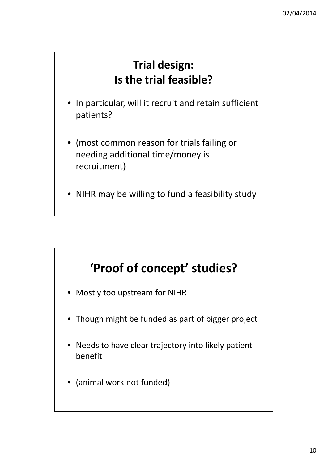- In particular, will it recruit and retain sufficient patients?
- (most common reason for trials failing or needing additional time/money is recruitment)
- NIHR may be willing to fund a feasibility study

#### **Trial design: Is the trial feasible?**

# **'Proof of concept' studies?**

- Mostly too upstream for NIHR
- Though might be funded as part of bigger project
- Needs to have clear trajectory into likely patient

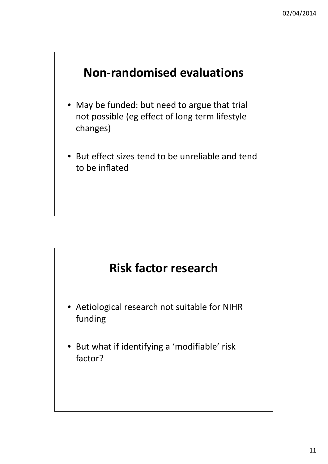

- May be funded: but need to argue that trial not possible (eg effect of long term lifestyle changes)
- But effect sizes tend to be unreliable and tend to be inflated



- Aetiological research not suitable for NIHR funding
- But what if identifying a 'modifiable' risk

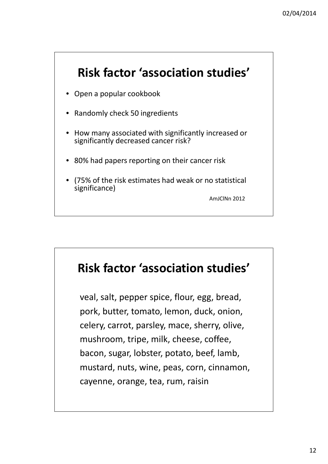

- Open a popular cookbook
- Randomly check 50 ingredients
- How many associated with significantly increased or significantly decreased cancer risk?
- 80% had papers reporting on their cancer risk
- (75% of the risk estimates had weak or no statistical significance)

AmJClNn 2012

#### **Risk factor 'association studies'**

veal, salt, pepper spice, flour, egg, bread, pork, butter, tomato, lemon, duck, onion, celery, carrot, parsley, mace, sherry, olive, mushroom, tripe, milk, cheese, coffee, bacon, sugar, lobster, potato, beef, lamb, mustard, nuts, wine, peas, corn, cinnamon, cayenne, orange, tea, rum, raisin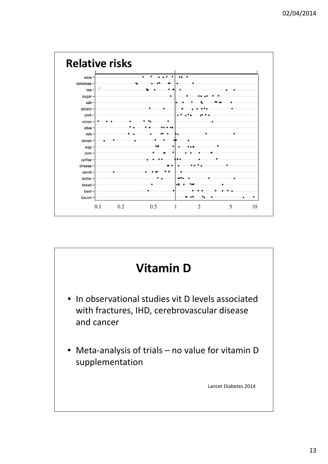

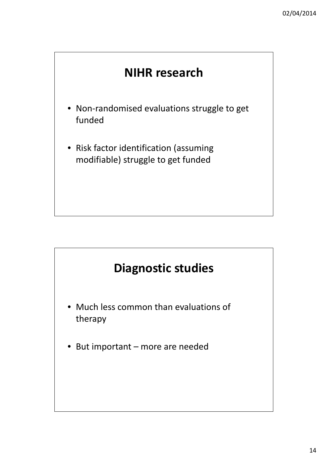14



- Non-randomised evaluations struggle to get funded
- Risk factor identification (assuming modifiable) struggle to get funded



- Much less common than evaluations of therapy
- But important more are needed

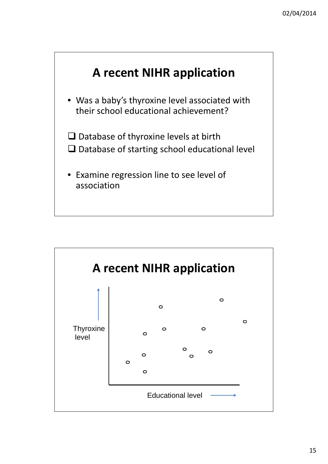

• Was a baby's thyroxine level associated with their school educational achievement?

 $\square$  Database of thyroxine levels at birth  $\Box$  Database of starting school educational level

• Examine regression line to see level of association

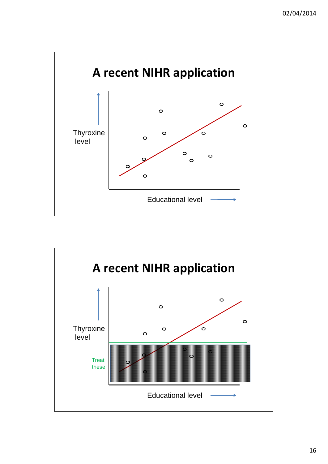

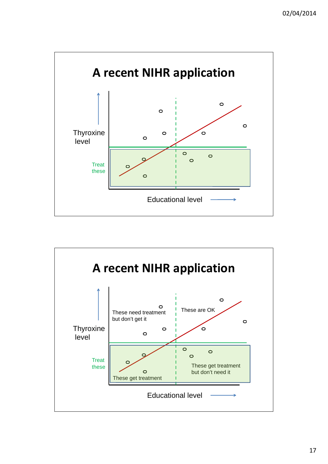

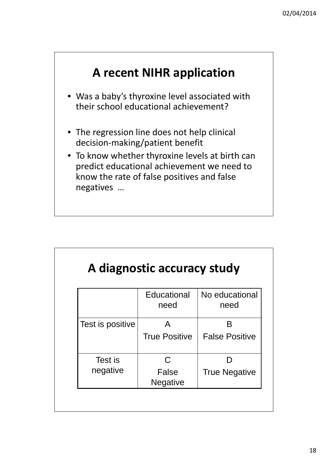## **A recent NIHR application**

- Was a baby's thyroxine level associated with their school educational achievement?
- The regression line does not help clinical decision-making/patient benefit
- To know whether thyroxine levels at birth can predict educational achievement we need to know the rate of false positives and false negatives …

|                  | A diagnostic accuracy study |                        |
|------------------|-----------------------------|------------------------|
|                  | Educational<br>need         | No educational<br>need |
| Test is positive | <b>True Positive</b>        | <b>False Positive</b>  |

| Test is  |                          |                      |
|----------|--------------------------|----------------------|
| negative | False<br><b>Negative</b> | <b>True Negative</b> |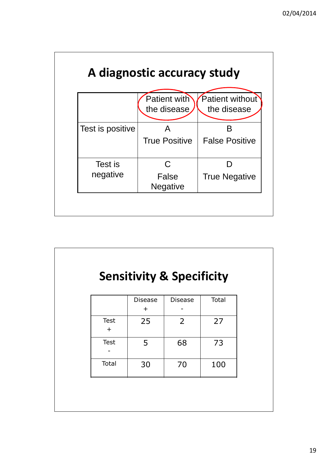

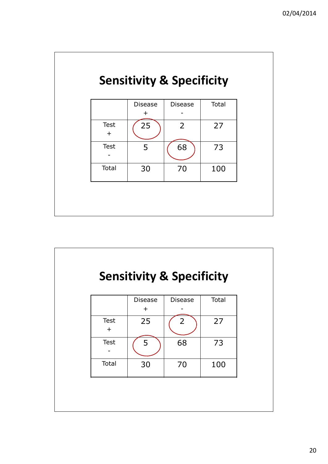# **Sensitivity & Specificity**

|             | <b>Disease</b> | <b>Disease</b> | Total |
|-------------|----------------|----------------|-------|
|             | $+$            |                |       |
| <b>Test</b> | 25             | $\overline{2}$ | 27    |
| $+$         |                |                |       |
| <b>Test</b> | 5              | 68             | 73    |
|             |                |                |       |
| Total       | 30             | 70             | 100   |
|             |                |                |       |
|             |                |                |       |
|             |                |                |       |
|             |                |                |       |



| $\overline{\phantom{0}}$ |    |    |     |  |
|--------------------------|----|----|-----|--|
| Total                    | 30 | 70 | 100 |  |
|                          |    |    |     |  |
|                          |    |    |     |  |
|                          |    |    |     |  |
|                          |    |    |     |  |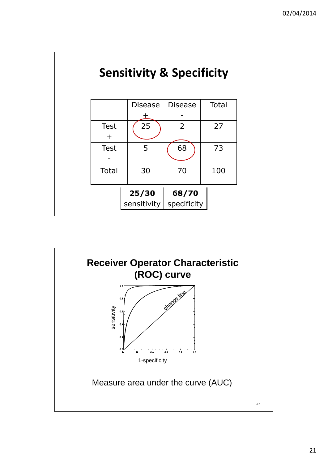

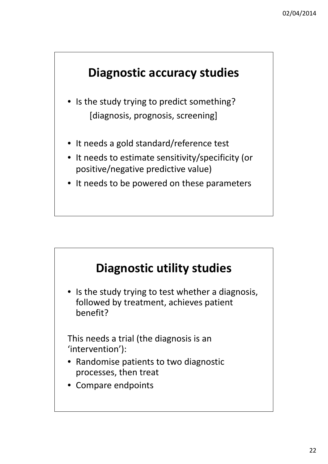#### **Diagnostic accuracy studies**

- Is the study trying to predict something? [diagnosis, prognosis, screening]
- It needs a gold standard/reference test
- It needs to estimate sensitivity/specificity (or positive/negative predictive value)
- It needs to be powered on these parameters

#### **Diagnostic utility studies**

• Is the study trying to test whether a diagnosis, followed by treatment, achieves patient benefit?

This needs a trial (the diagnosis is an 'intervention'):

- Randomise patients to two diagnostic processes, then treat
- Compare endpoints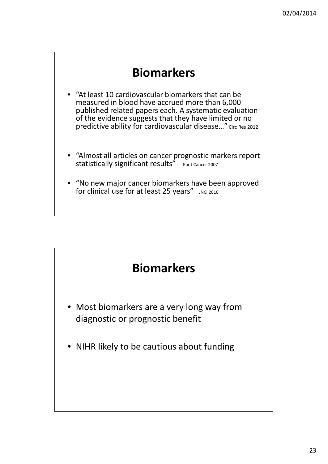23

- "At least 10 cardiovascular biomarkers that can be measured in blood have accrued more than 6,000 published related papers each. A systematic evaluation of the evidence suggests that they have limited or no predictive ability for cardiovascular disease…" Circ Res 2012
- "Almost all articles on cancer prognostic markers report statistically significant results" Eur J Cancer 2007
- "No new major cancer biomarkers have been approved for clinical use for at least 25 years" JNCI 2010





- Most biomarkers are a very long way from diagnostic or prognostic benefit
- NIHR likely to be cautious about funding

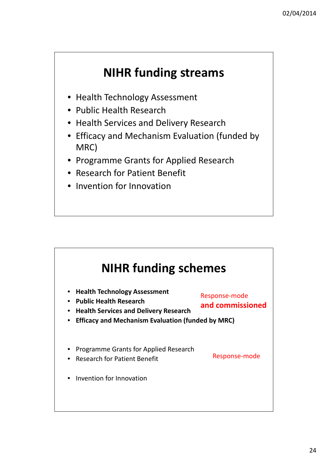## **NIHR funding streams**

- Health Technology Assessment
- Public Health Research
- Health Services and Delivery Research
- Efficacy and Mechanism Evaluation (funded by MRC)
- Programme Grants for Applied Research
- Research for Patient Benefit
- Invention for Innovation

## **NIHR funding schemes**

- **Health Technology Assessment**
- **Public Health Research**

- **Health Services and Delivery Research**
- **Efficacy and Mechanism Evaluation (funded by MRC)**
- Programme Grants for Applied Research
- Research for Patient Benefit

• Invention for Innovation

Response-mode

**and commissioned**

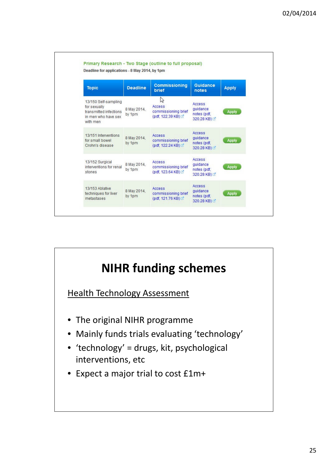| <b>Topic</b>                                                                                      | <b>Deadline</b>       | <b>Commissioning</b><br>brief                            | <b>Guidance</b><br>notes                                   | <b>Apply</b> |
|---------------------------------------------------------------------------------------------------|-----------------------|----------------------------------------------------------|------------------------------------------------------------|--------------|
| 13/150 Self-sampling<br>for sexually<br>transmitted infections<br>in men who have sex<br>with men | 8 May 2014,<br>by 1pm | じ<br>Access<br>commissioning brief<br>(pdf, 122.39 KB)   | <b>Access</b><br>guidance<br>notes (pdf,<br>320.28 KB) [4] | <b>Apply</b> |
| 13/151 Interventions<br>for small bowel<br>Crohn's disease                                        | 8 May 2014,<br>by 1pm | Access<br>commissioning brief<br>(pdf, 122.24 KB)        | Access<br>quidance<br>notes (pdf,<br>320.28 KB)            | <b>Apply</b> |
| 13/152 Surgical<br>interventions for renal<br>stones                                              | 8 May 2014,<br>by 1pm | <b>Access</b><br>commissioning brief<br>(pdf, 123.64 KB) | Access<br>guidance<br>notes (pdf,<br>320.28 KB)            | <b>Apply</b> |
| 13/153 Ablative<br>techniques for liver<br>metastases                                             | 8 May 2014,<br>by 1pm | Access<br>commissioning brief<br>(pdf, 121.76 KB)        | <b>Access</b><br>guidance<br>notes (pdf,<br>320.28 KB)     | <b>Apply</b> |



- 'technology' = drugs, kit, psychological interventions, etc
- Expect a major trial to cost £1m+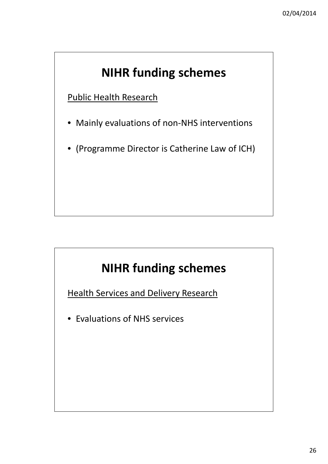Public Health Research

- Mainly evaluations of non-NHS interventions
- (Programme Director is Catherine Law of ICH)

# **NIHR funding schemes**

**Health Services and Delivery Research** 

• Evaluations of NHS services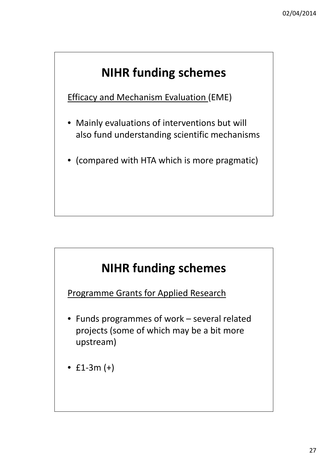Efficacy and Mechanism Evaluation (EME)

- Mainly evaluations of interventions but will also fund understanding scientific mechanisms
- (compared with HTA which is more pragmatic)

# **NIHR funding schemes**

Programme Grants for Applied Research

• Funds programmes of work – several related projects (some of which may be a bit more upstream)

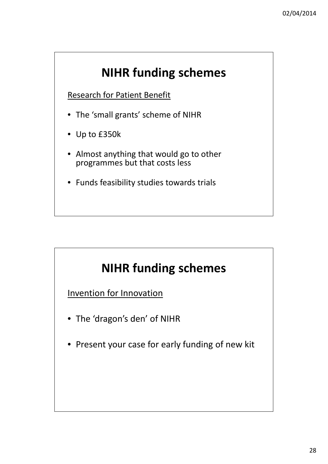28

Research for Patient Benefit

- The 'small grants' scheme of NIHR
- Up to £350k
- Almost anything that would go to other programmes but that costs less
- Funds feasibility studies towards trials

# **NIHR funding schemes**

Invention for Innovation

- The 'dragon's den' of NIHR
- Present your case for early funding of new kit

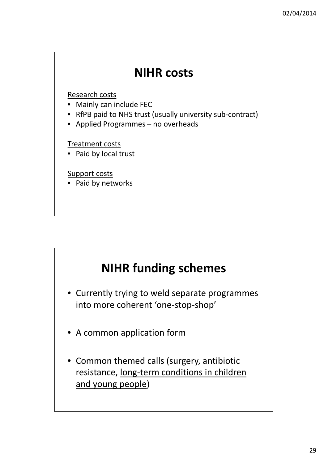

Research costs

- Mainly can include FEC
- RfPB paid to NHS trust (usually university sub-contract)
- Applied Programmes no overheads

Treatment costs

• Paid by local trust

Support costs

Paid by networks

## **NIHR funding schemes**

- Currently trying to weld separate programmes into more coherent 'one-stop-shop'
- A common application form
- Common themed calls (surgery, antibiotic resistance, long-term conditions in children and young people)